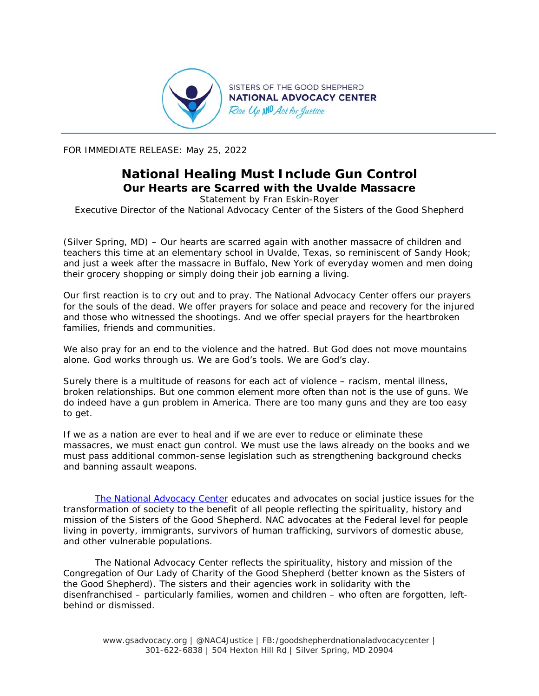

FOR IMMEDIATE RELEASE: May 25, 2022

## **National Healing Must Include Gun Control Our Hearts are Scarred with the Uvalde Massacre**

*Statement by Fran Eskin-Royer Executive Director of the National Advocacy Center of the Sisters of the Good Shepherd* 

(Silver Spring, MD) – Our hearts are scarred again with another massacre of children and teachers this time at an elementary school in Uvalde, Texas, so reminiscent of Sandy Hook; and just a week after the massacre in Buffalo, New York of everyday women and men doing their grocery shopping or simply doing their job earning a living.

Our first reaction is to cry out and to pray. The National Advocacy Center offers our prayers for the souls of the dead. We offer prayers for solace and peace and recovery for the injured and those who witnessed the shootings. And we offer special prayers for the heartbroken families, friends and communities.

We also pray for an end to the violence and the hatred. But God does not move mountains alone. God works through us. We are God's tools. We are God's clay.

Surely there is a multitude of reasons for each act of violence – racism, mental illness, broken relationships. But one common element more often than not is the use of guns. We do indeed have a gun problem in America. There are too many guns and they are too easy to get.

If we as a nation are ever to heal and if we are ever to reduce or eliminate these massacres, we must enact gun control. We must use the laws already on the books and we must pass additional common-sense legislation such as strengthening background checks and banning assault weapons.

*The National Advocacy Center educates and advocates on social justice issues for the transformation of society to the benefit of all people reflecting the spirituality, history and mission of the Sisters of the Good Shepherd. NAC advocates at the Federal level for people living in poverty, immigrants, survivors of human trafficking, survivors of domestic abuse, and other vulnerable populations.* 

*The National Advocacy Center reflects the spirituality, history and mission of the Congregation of Our Lady of Charity of the Good Shepherd (better known as the Sisters of the Good Shepherd). The sisters and their agencies work in solidarity with the disenfranchised – particularly families, women and children – who often are forgotten, leftbehind or dismissed.* 

www.gsadvocacy.org | @NAC4Justice | FB:/goodshepherdnationaladvocacycenter | 301-622-6838 | 504 Hexton Hill Rd | Silver Spring, MD 20904